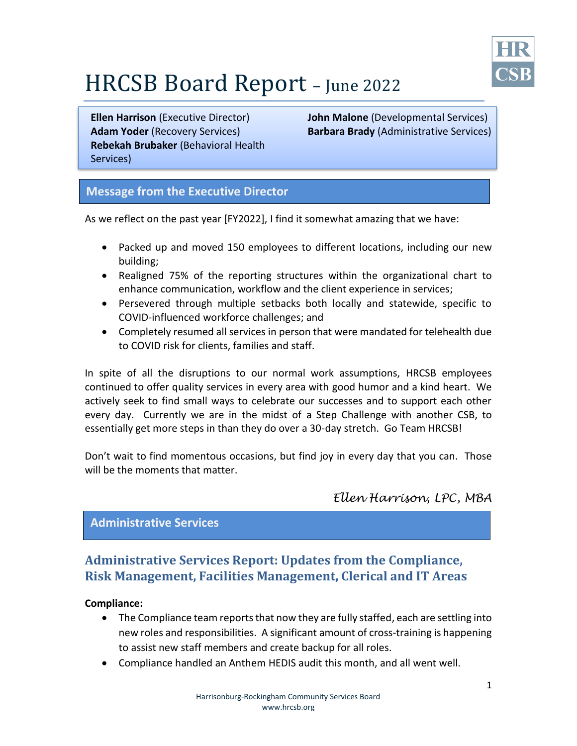

# HRCSB Board Report – June <sup>2022</sup>

**Adam Yoder** (Recovery Services) **Rebekah Brubaker** (Behavioral Health Services)

**Ellen Harrison** (Executive Director) **John Malone** (Developmental Services) **Barbara Brady** (Administrative Services)

## **Message from the Executive Director**

As we reflect on the past year [FY2022], I find it somewhat amazing that we have:

- Packed up and moved 150 employees to different locations, including our new building;
- Realigned 75% of the reporting structures within the organizational chart to enhance communication, workflow and the client experience in services;
- Persevered through multiple setbacks both locally and statewide, specific to COVID-influenced workforce challenges; and
- Completely resumed all services in person that were mandated for telehealth due to COVID risk for clients, families and staff.

In spite of all the disruptions to our normal work assumptions, HRCSB employees continued to offer quality services in every area with good humor and a kind heart. We actively seek to find small ways to celebrate our successes and to support each other every day. Currently we are in the midst of a Step Challenge with another CSB, to essentially get more steps in than they do over a 30-day stretch. Go Team HRCSB!

Don't wait to find momentous occasions, but find joy in every day that you can. Those will be the moments that matter.

## *Ellen Harrison, LPC, MBA*

## **Administrative Services**

# **Administrative Services Report: Updates from the Compliance, Risk Management, Facilities Management, Clerical and IT Areas**

### **Compliance:**

- The Compliance team reports that now they are fully staffed, each are settling into new roles and responsibilities. A significant amount of cross-training is happening to assist new staff members and create backup for all roles.
- Compliance handled an Anthem HEDIS audit this month, and all went well.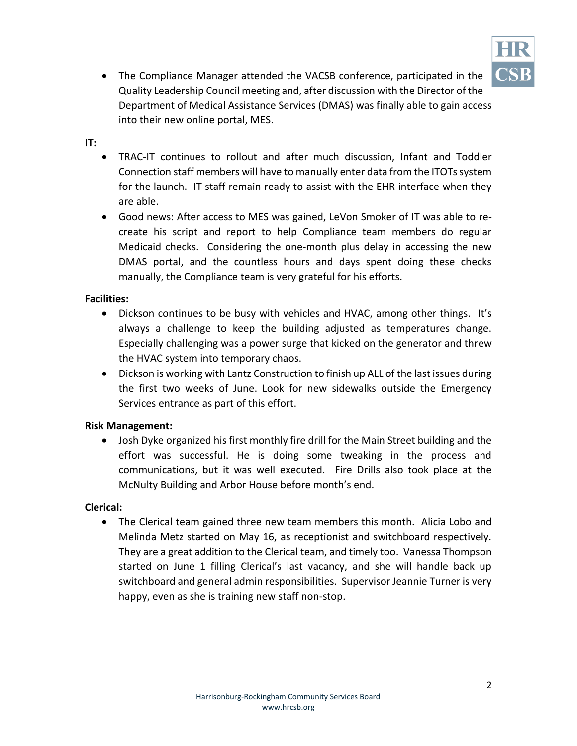

 The Compliance Manager attended the VACSB conference, participated in the Quality Leadership Council meeting and, after discussion with the Director of the Department of Medical Assistance Services (DMAS) was finally able to gain access into their new online portal, MES.

#### **IT:**

- TRAC-IT continues to rollout and after much discussion, Infant and Toddler Connection staff members will have to manually enter data from the ITOTs system for the launch. IT staff remain ready to assist with the EHR interface when they are able.
- Good news: After access to MES was gained, LeVon Smoker of IT was able to recreate his script and report to help Compliance team members do regular Medicaid checks. Considering the one-month plus delay in accessing the new DMAS portal, and the countless hours and days spent doing these checks manually, the Compliance team is very grateful for his efforts.

#### **Facilities:**

- Dickson continues to be busy with vehicles and HVAC, among other things. It's always a challenge to keep the building adjusted as temperatures change. Especially challenging was a power surge that kicked on the generator and threw the HVAC system into temporary chaos.
- Dickson is working with Lantz Construction to finish up ALL of the last issues during the first two weeks of June. Look for new sidewalks outside the Emergency Services entrance as part of this effort.

### **Risk Management:**

 Josh Dyke organized his first monthly fire drill for the Main Street building and the effort was successful. He is doing some tweaking in the process and communications, but it was well executed. Fire Drills also took place at the McNulty Building and Arbor House before month's end.

#### **Clerical:**

 The Clerical team gained three new team members this month. Alicia Lobo and Melinda Metz started on May 16, as receptionist and switchboard respectively. They are a great addition to the Clerical team, and timely too. Vanessa Thompson started on June 1 filling Clerical's last vacancy, and she will handle back up switchboard and general admin responsibilities. Supervisor Jeannie Turner is very happy, even as she is training new staff non-stop.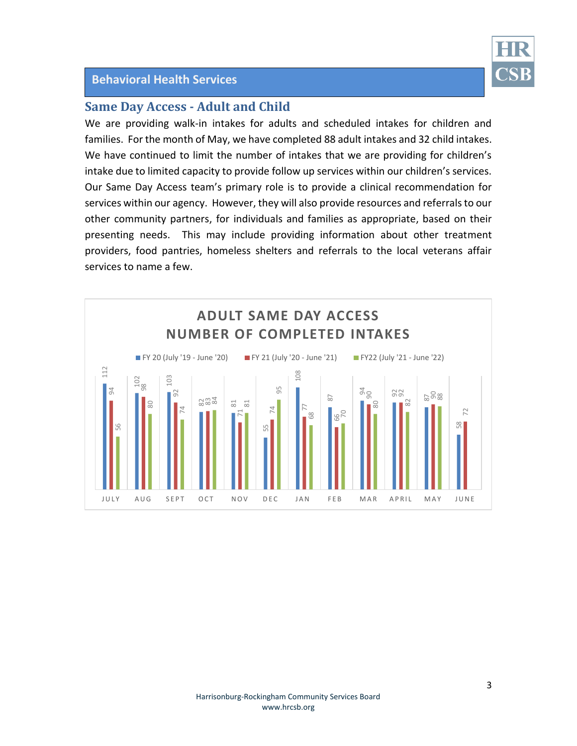### **Behavioral Health Services**



# **Same Day Access - Adult and Child**

We are providing walk-in intakes for adults and scheduled intakes for children and families. For the month of May, we have completed 88 adult intakes and 32 child intakes. We have continued to limit the number of intakes that we are providing for children's intake due to limited capacity to provide follow up services within our children's services. Our Same Day Access team's primary role is to provide a clinical recommendation for services within our agency. However, they will also provide resources and referrals to our other community partners, for individuals and families as appropriate, based on their presenting needs. This may include providing information about other treatment providers, food pantries, homeless shelters and referrals to the local veterans affair services to name a few.

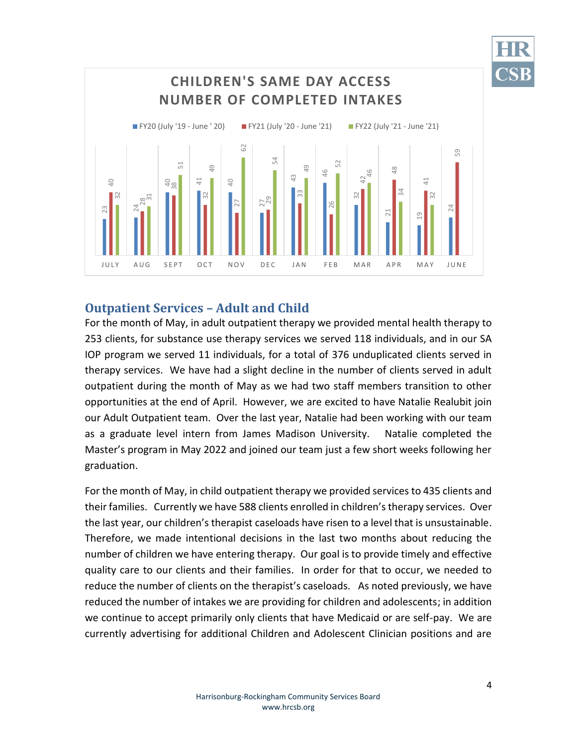

# **Outpatient Services – Adult and Child**

For the month of May, in adult outpatient therapy we provided mental health therapy to 253 clients, for substance use therapy services we served 118 individuals, and in our SA IOP program we served 11 individuals, for a total of 376 unduplicated clients served in therapy services. We have had a slight decline in the number of clients served in adult outpatient during the month of May as we had two staff members transition to other opportunities at the end of April. However, we are excited to have Natalie Realubit join our Adult Outpatient team. Over the last year, Natalie had been working with our team as a graduate level intern from James Madison University. Natalie completed the Master's program in May 2022 and joined our team just a few short weeks following her graduation.

For the month of May, in child outpatient therapy we provided services to 435 clients and their families. Currently we have 588 clients enrolled in children's therapy services. Over the last year, our children's therapist caseloads have risen to a level that is unsustainable. Therefore, we made intentional decisions in the last two months about reducing the number of children we have entering therapy. Our goal is to provide timely and effective quality care to our clients and their families. In order for that to occur, we needed to reduce the number of clients on the therapist's caseloads. As noted previously, we have reduced the number of intakes we are providing for children and adolescents; in addition we continue to accept primarily only clients that have Medicaid or are self-pay. We are **Example 1.1** and 1.1 and 1.1 and 1.1 and 1.1 and 1.1 and 1.1 and 1.1 and 1.1 and 1.1 and 1.1 and 1.1 and 1.1 and 1.1 and 1.1 and 1.1 and 1.1 and 1.1 and 1.1 and 1.1 and 1.1 and 1.1 and 1.1 and 1.1 and 1.1 and 1.1 and 1.1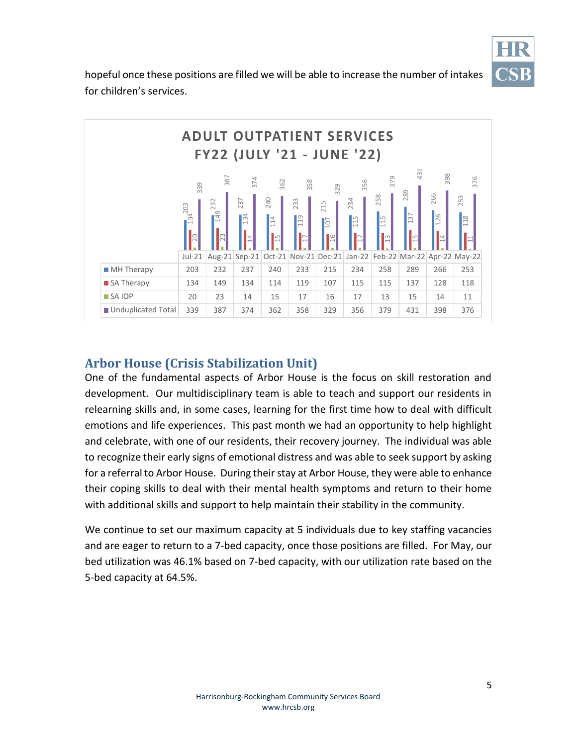

hopeful once these positions are filled we will be able to increase the number of intakes for children's services.



# **Arbor House (Crisis Stabilization Unit)**

One of the fundamental aspects of Arbor House is the focus on skill restoration and development. Our multidisciplinary team is able to teach and support our residents in relearning skills and, in some cases, learning for the first time how to deal with difficult emotions and life experiences. This past month we had an opportunity to help highlight and celebrate, with one of our residents, their recovery journey. The individual was able to recognize their early signs of emotional distress and was able to seek support by asking for a referral to Arbor House. During their stay at Arbor House, they were able to enhance their coping skills to deal with their mental health symptoms and return to their home with additional skills and support to help maintain their stability in the community.

We continue to set our maximum capacity at 5 individuals due to key staffing vacancies and are eager to return to a 7-bed capacity, once those positions are filled. For May, our bed utilization was 46.1% based on 7-bed capacity, with our utilization rate based on the 5-bed capacity at 64.5%.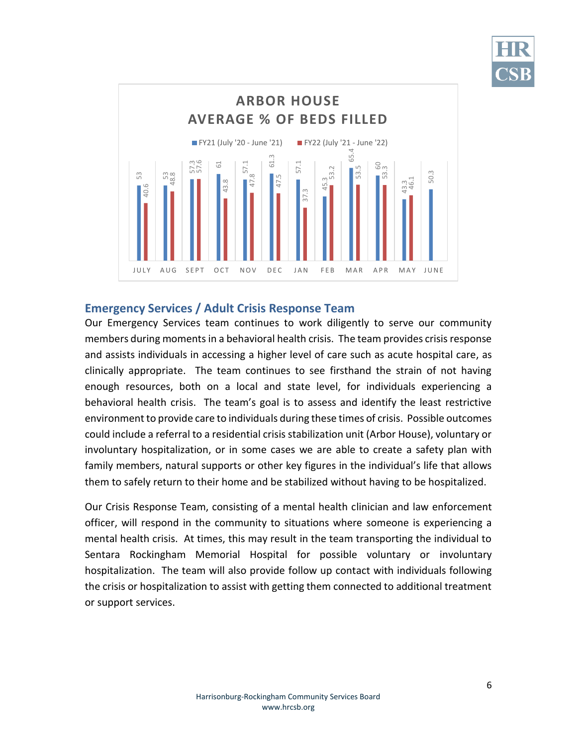



#### **Emergency Services / Adult Crisis Response Team**

Our Emergency Services team continues to work diligently to serve our community members during moments in a behavioral health crisis. The team provides crisis response and assists individuals in accessing a higher level of care such as acute hospital care, as clinically appropriate. The team continues to see firsthand the strain of not having enough resources, both on a local and state level, for individuals experiencing a behavioral health crisis. The team's goal is to assess and identify the least restrictive environment to provide care to individuals during these times of crisis. Possible outcomes could include a referral to a residential crisis stabilization unit (Arbor House), voluntary or involuntary hospitalization, or in some cases we are able to create a safety plan with family members, natural supports or other key figures in the individual's life that allows them to safely return to their home and be stabilized without having to be hospitalized. Energency Services.<br>
Energency Services.<br>
Energency Services.<br>
Our Emergency Services.<br>
Our Emergency Services.<br>
Duly appropriat<br>
enough resources,<br>
behavioral health cronould include a refer<br>
involuntary hospital<br>
family

Our Crisis Response Team, consisting of a mental health clinician and law enforcement officer, will respond in the community to situations where someone is experiencing a mental health crisis. At times, this may result in the team transporting the individual to Sentara Rockingham Memorial Hospital for possible voluntary or involuntary hospitalization. The team will also provide follow up contact with individuals following the crisis or hospitalization to assist with getting them connected to additional treatment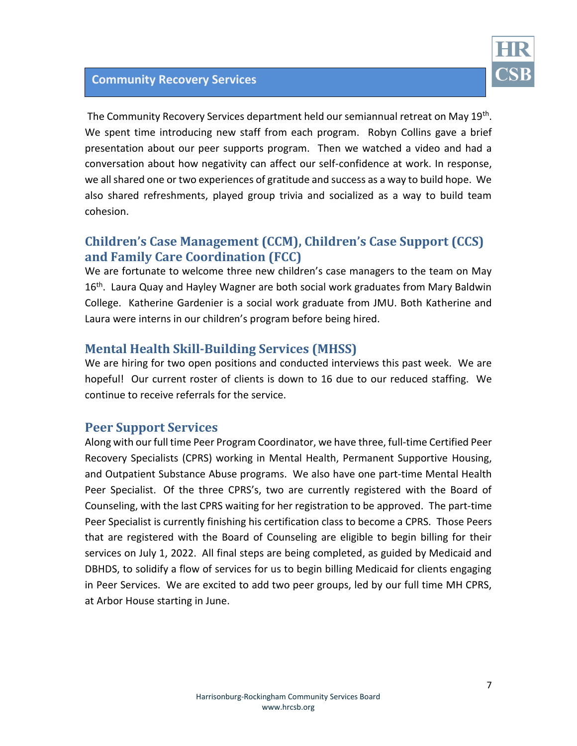

# **Community Recovery Services**

The Community Recovery Services department held our semiannual retreat on May 19<sup>th</sup>. We spent time introducing new staff from each program. Robyn Collins gave a brief presentation about our peer supports program. Then we watched a video and had a conversation about how negativity can affect our self-confidence at work. In response, we all shared one or two experiences of gratitude and success as a way to build hope. We also shared refreshments, played group trivia and socialized as a way to build team cohesion.

# **Children's Case Management (CCM), Children's Case Support (CCS) and Family Care Coordination (FCC)**

We are fortunate to welcome three new children's case managers to the team on May 16<sup>th</sup>. Laura Quay and Hayley Wagner are both social work graduates from Mary Baldwin College. Katherine Gardenier is a social work graduate from JMU. Both Katherine and Laura were interns in our children's program before being hired.

# **Mental Health Skill-Building Services (MHSS)**

We are hiring for two open positions and conducted interviews this past week. We are hopeful! Our current roster of clients is down to 16 due to our reduced staffing. We continue to receive referrals for the service.

## **Peer Support Services**

Along with our full time Peer Program Coordinator, we have three, full-time Certified Peer Recovery Specialists (CPRS) working in Mental Health, Permanent Supportive Housing, and Outpatient Substance Abuse programs. We also have one part-time Mental Health Peer Specialist. Of the three CPRS's, two are currently registered with the Board of Counseling, with the last CPRS waiting for her registration to be approved. The part-time Peer Specialist is currently finishing his certification class to become a CPRS. Those Peers that are registered with the Board of Counseling are eligible to begin billing for their services on July 1, 2022. All final steps are being completed, as guided by Medicaid and DBHDS, to solidify a flow of services for us to begin billing Medicaid for clients engaging in Peer Services. We are excited to add two peer groups, led by our full time MH CPRS, at Arbor House starting in June.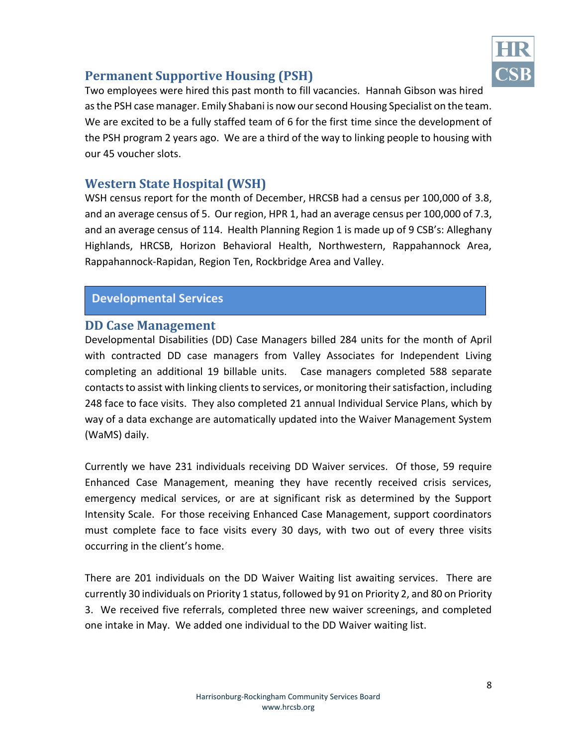

# **Permanent Supportive Housing (PSH)**

Two employees were hired this past month to fill vacancies. Hannah Gibson was hired as the PSH case manager. Emily Shabani is now our second Housing Specialist on the team. We are excited to be a fully staffed team of 6 for the first time since the development of the PSH program 2 years ago. We are a third of the way to linking people to housing with our 45 voucher slots.

# **Western State Hospital (WSH)**

WSH census report for the month of December, HRCSB had a census per 100,000 of 3.8, and an average census of 5. Our region, HPR 1, had an average census per 100,000 of 7.3, and an average census of 114. Health Planning Region 1 is made up of 9 CSB's: Alleghany Highlands, HRCSB, Horizon Behavioral Health, Northwestern, Rappahannock Area, Rappahannock-Rapidan, Region Ten, Rockbridge Area and Valley.

## **Developmental Services**

## **DD Case Management**

Developmental Disabilities (DD) Case Managers billed 284 units for the month of April with contracted DD case managers from Valley Associates for Independent Living completing an additional 19 billable units. Case managers completed 588 separate contacts to assist with linking clients to services, or monitoring their satisfaction, including 248 face to face visits. They also completed 21 annual Individual Service Plans, which by way of a data exchange are automatically updated into the Waiver Management System (WaMS) daily.

Currently we have 231 individuals receiving DD Waiver services. Of those, 59 require Enhanced Case Management, meaning they have recently received crisis services, emergency medical services, or are at significant risk as determined by the Support Intensity Scale. For those receiving Enhanced Case Management, support coordinators must complete face to face visits every 30 days, with two out of every three visits occurring in the client's home.

There are 201 individuals on the DD Waiver Waiting list awaiting services. There are currently 30 individuals on Priority 1 status, followed by 91 on Priority 2, and 80 on Priority 3. We received five referrals, completed three new waiver screenings, and completed one intake in May. We added one individual to the DD Waiver waiting list.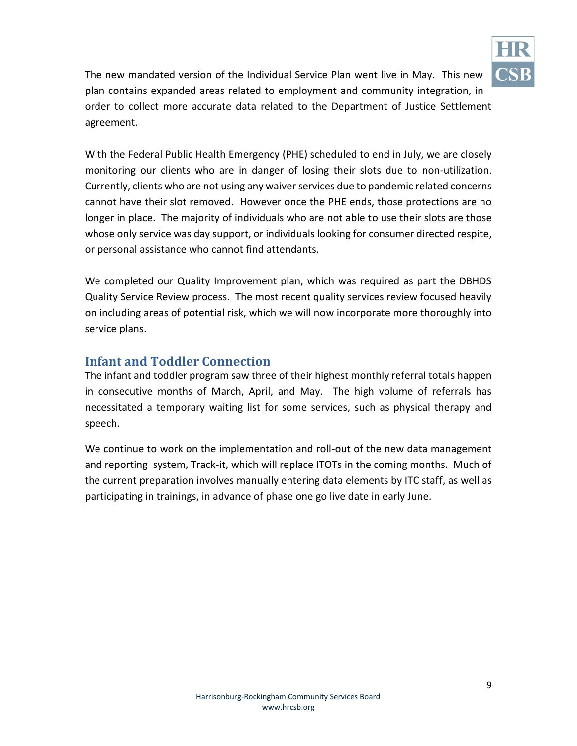

The new mandated version of the Individual Service Plan went live in May. This new plan contains expanded areas related to employment and community integration, in order to collect more accurate data related to the Department of Justice Settlement agreement.

With the Federal Public Health Emergency (PHE) scheduled to end in July, we are closely monitoring our clients who are in danger of losing their slots due to non-utilization. Currently, clients who are not using any waiver services due to pandemic related concerns cannot have their slot removed. However once the PHE ends, those protections are no longer in place. The majority of individuals who are not able to use their slots are those whose only service was day support, or individuals looking for consumer directed respite, or personal assistance who cannot find attendants.

We completed our Quality Improvement plan, which was required as part the DBHDS Quality Service Review process. The most recent quality services review focused heavily on including areas of potential risk, which we will now incorporate more thoroughly into service plans.

# **Infant and Toddler Connection**

The infant and toddler program saw three of their highest monthly referral totals happen in consecutive months of March, April, and May. The high volume of referrals has necessitated a temporary waiting list for some services, such as physical therapy and speech.

We continue to work on the implementation and roll-out of the new data management and reporting system, Track-it, which will replace ITOTs in the coming months. Much of the current preparation involves manually entering data elements by ITC staff, as well as participating in trainings, in advance of phase one go live date in early June.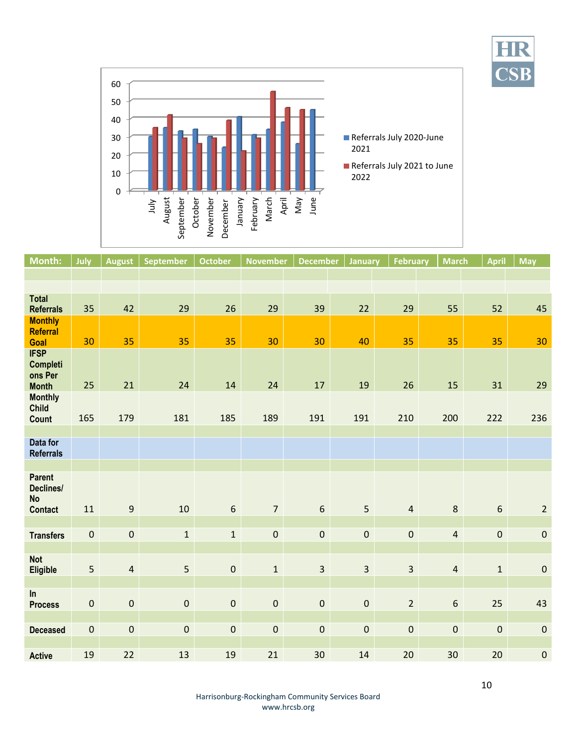**CSB** 



| <b>Month:</b>                                             | July                | <b>August</b>    | <b>September</b> | <b>October</b>   | <b>November</b> | <b>December</b> | January                 | <b>February</b>         | <b>March</b>     | <b>April</b>     | <b>May</b>     |
|-----------------------------------------------------------|---------------------|------------------|------------------|------------------|-----------------|-----------------|-------------------------|-------------------------|------------------|------------------|----------------|
|                                                           |                     |                  |                  |                  |                 |                 |                         |                         |                  |                  |                |
|                                                           |                     |                  |                  |                  |                 |                 |                         |                         |                  |                  |                |
| <b>Total</b><br><b>Referrals</b>                          | 35                  | 42               | 29               | 26               | 29              | 39              | 22                      | 29                      | 55               | 52               | 45             |
| <b>Monthly</b><br><b>Referral</b><br>Goal                 | 30                  | 35               | 35               | 35               | 30              | 30              | 40                      | 35                      | 35               | 35               | 30             |
| <b>IFSP</b><br><b>Completi</b><br>ons Per<br><b>Month</b> | 25                  | 21               | 24               | 14               | 24              | 17              | 19                      | 26                      | 15               | 31               | 29             |
| <b>Monthly</b><br><b>Child</b><br><b>Count</b>            | 165                 | 179              | 181              | 185              | 189             | 191             | 191                     | 210                     | 200              | 222              | 236            |
|                                                           |                     |                  |                  |                  |                 |                 |                         |                         |                  |                  |                |
| Data for<br><b>Referrals</b>                              |                     |                  |                  |                  |                 |                 |                         |                         |                  |                  |                |
|                                                           |                     |                  |                  |                  |                 |                 |                         |                         |                  |                  |                |
| <b>Parent</b><br>Declines/<br><b>No</b><br><b>Contact</b> | 11                  | $\boldsymbol{9}$ | 10               | $\boldsymbol{6}$ | $\overline{7}$  | $6\,$           | 5                       | $\overline{4}$          | $\bf 8$          | $\boldsymbol{6}$ | $\overline{2}$ |
|                                                           |                     |                  |                  |                  |                 |                 |                         |                         |                  |                  |                |
| <b>Transfers</b>                                          | $\pmb{0}$           | $\pmb{0}$        | $\mathbf{1}$     | $\mathbf{1}$     | $\mathbf 0$     | $\pmb{0}$       | $\pmb{0}$               | $\mathbf 0$             | $\overline{4}$   | $\mathbf 0$      | $\pmb{0}$      |
| <b>Not</b><br><b>Eligible</b>                             | 5                   | $\overline{4}$   | 5                | $\pmb{0}$        | $\mathbf{1}$    | $\overline{3}$  | $\overline{\mathbf{3}}$ | $\overline{\mathbf{3}}$ | $\overline{4}$   | $\mathbf 1$      | $\pmb{0}$      |
| In<br><b>Process</b>                                      | $\mathsf{O}\xspace$ | $\pmb{0}$        | $\pmb{0}$        | $\mathbf 0$      | $\pmb{0}$       | $\pmb{0}$       | $\pmb{0}$               | $\overline{2}$          | $\boldsymbol{6}$ | 25               | 43             |
| <b>Deceased</b>                                           | $\pmb{0}$           | $\pmb{0}$        | $\mathbf 0$      | $\pmb{0}$        | $\mathbf 0$     | $\mathbf 0$     | $\pmb{0}$               | $\mathbf 0$             | $\pmb{0}$        | $\mathbf 0$      | $\pmb{0}$      |
| <b>Active</b>                                             | 19                  | 22               | 13               | 19               | 21              | 30              | 14                      | 20                      | 30               | 20               | $\pmb{0}$      |